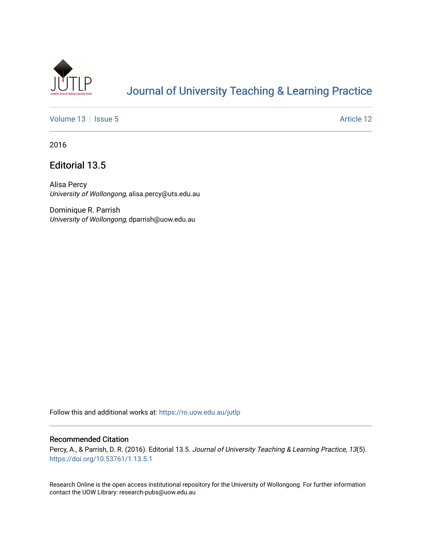

# [Journal of University Teaching & Learning Practice](https://ro.uow.edu.au/jutlp)

[Volume 13](https://ro.uow.edu.au/jutlp/vol13) | [Issue 5](https://ro.uow.edu.au/jutlp/vol13/iss5) Article 12

2016

## Editorial 13.5

Alisa Percy University of Wollongong, alisa.percy@uts.edu.au

Dominique R. Parrish University of Wollongong, dparrish@uow.edu.au

Follow this and additional works at: [https://ro.uow.edu.au/jutlp](https://ro.uow.edu.au/jutlp?utm_source=ro.uow.edu.au%2Fjutlp%2Fvol13%2Fiss5%2F12&utm_medium=PDF&utm_campaign=PDFCoverPages) 

### Recommended Citation

Percy, A., & Parrish, D. R. (2016). Editorial 13.5. Journal of University Teaching & Learning Practice, 13(5). <https://doi.org/10.53761/1.13.5.1>

Research Online is the open access institutional repository for the University of Wollongong. For further information contact the UOW Library: research-pubs@uow.edu.au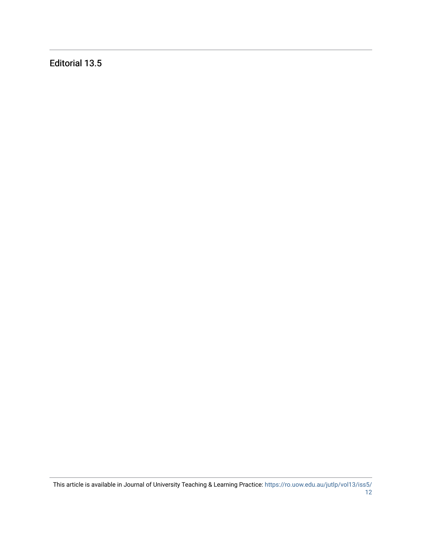Editorial 13.5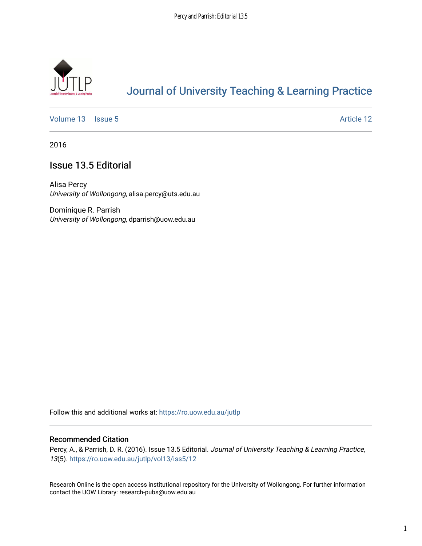

## [Journal of University Teaching & Learning Practice](https://ro.uow.edu.au/jutlp)

[Volume 13](https://ro.uow.edu.au/jutlp/vol13) | [Issue 5](https://ro.uow.edu.au/jutlp/vol13/iss5) Article 12

2016

## Issue 13.5 Editorial

Alisa Percy University of Wollongong, alisa.percy@uts.edu.au

Dominique R. Parrish University of Wollongong, dparrish@uow.edu.au

Follow this and additional works at: [https://ro.uow.edu.au/jutlp](https://ro.uow.edu.au/jutlp?utm_source=ro.uow.edu.au%2Fjutlp%2Fvol13%2Fiss5%2F12&utm_medium=PDF&utm_campaign=PDFCoverPages) 

### Recommended Citation

Percy, A., & Parrish, D. R. (2016). Issue 13.5 Editorial. Journal of University Teaching & Learning Practice, 13(5). [https://ro.uow.edu.au/jutlp/vol13/iss5/12](https://ro.uow.edu.au/jutlp/vol13/iss5/12?utm_source=ro.uow.edu.au%2Fjutlp%2Fvol13%2Fiss5%2F12&utm_medium=PDF&utm_campaign=PDFCoverPages) 

Research Online is the open access institutional repository for the University of Wollongong. For further information contact the UOW Library: research-pubs@uow.edu.au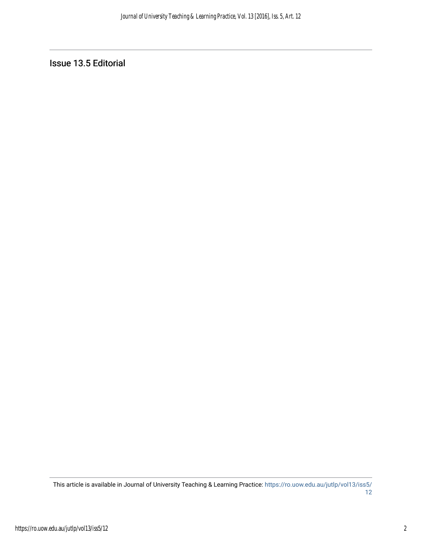Issue 13.5 Editorial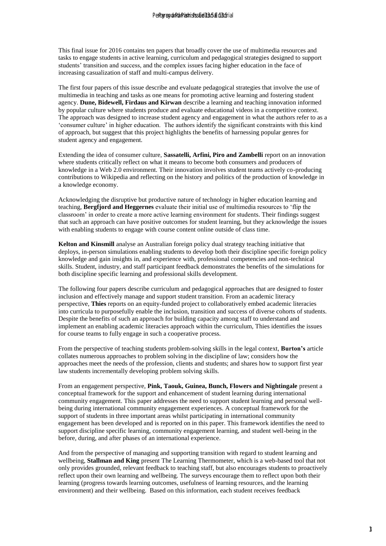This final issue for 2016 contains ten papers that broadly cover the use of multimedia resources and tasks to engage students in active learning, curriculum and pedagogical strategies designed to support students' transition and success, and the complex issues facing higher education in the face of increasing casualization of staff and multi-campus delivery.

The first four papers of this issue describe and evaluate pedagogical strategies that involve the use of multimedia in teaching and tasks as one means for promoting active learning and fostering student agency. **Dune, Bidewell, Firdaus and Kirwan** describe a learning and teaching innovation informed by popular culture where students produce and evaluate educational videos in a competitive context. The approach was designed to increase student agency and engagement in what the authors refer to as a 'consumer culture' in higher education. The authors identify the significant constraints with this kind of approach, but suggest that this project highlights the benefits of harnessing popular genres for student agency and engagement. **By the state of the state of the state of multimedia tensories and<br>the convention and performance in the state of multimedia tensories and<br>the convention and performance in the state of the state of<br>the convention of the** 

Extending the idea of consumer culture, **Sassatelli, Arfini, Piro and Zambelli** report on an innovation where students critically reflect on what it means to become both consumers and producers of knowledge in a Web 2.0 environment. Their innovation involves student teams actively co-producing contributions to Wikipedia and reflecting on the history and politics of the production of knowledge in a knowledge economy.

Acknowledging the disruptive but productive nature of technology in higher education learning and teaching, **Bergfjord and Heggernes** evaluate their initial use of multimedia resources to 'flip the classroom' in order to create a more active learning environment for students. Their findings suggest that such an approach can have positive outcomes for student learning, but they acknowledge the issues with enabling students to engage with course content online outside of class time.

**Kelton and Kinsmill** analyse an Australian foreign policy dual strategy teaching initiative that deploys, in-person simulations enabling students to develop both their discipline specific foreign policy knowledge and gain insights in, and experience with, professional competencies and non-technical skills. Student, industry, and staff participant feedback demonstrates the benefits of the simulations for both discipline specific learning and professional skills development.

The following four papers describe curriculum and pedagogical approaches that are designed to foster inclusion and effectively manage and support student transition. From an academic literacy perspective, **Thies** reports on an equity-funded project to collaboratively embed academic literacies into curricula to purposefully enable the inclusion, transition and success of diverse cohorts of students. Despite the benefits of such an approach for building capacity among staff to understand and implement an enabling academic literacies approach within the curriculum, Thies identifies the issues for course teams to fully engage in such a cooperative process.

From the perspective of teaching students problem-solving skills in the legal context, **Burton's** article collates numerous approaches to problem solving in the discipline of law; considers how the approaches meet the needs of the profession, clients and students; and shares how to support first year law students incrementally developing problem solving skills.

From an engagement perspective, **Pink, Taouk, Guinea, Bunch, Flowers and Nightingale** present a conceptual framework for the support and enhancement of student learning during international community engagement. This paper addresses the need to support student learning and personal wellbeing during international community engagement experiences. A conceptual framework for the support of students in three important areas whilst participating in international community engagement has been developed and is reported on in this paper. This framework identifies the need to support discipline specific learning, community engagement learning, and student well-being in the before, during, and after phases of an international experience.

And from the perspective of managing and supporting transition with regard to student learning and wellbeing, **Stallman and King** present The Learning Thermometer, which is a web-based tool that not only provides grounded, relevant feedback to teaching staff, but also encourages students to proactively reflect upon their own learning and wellbeing. The surveys encourage them to reflect upon both their learning (progress towards learning outcomes, usefulness of learning resources, and the learning environment) and their wellbeing. Based on this information, each student receives feedback